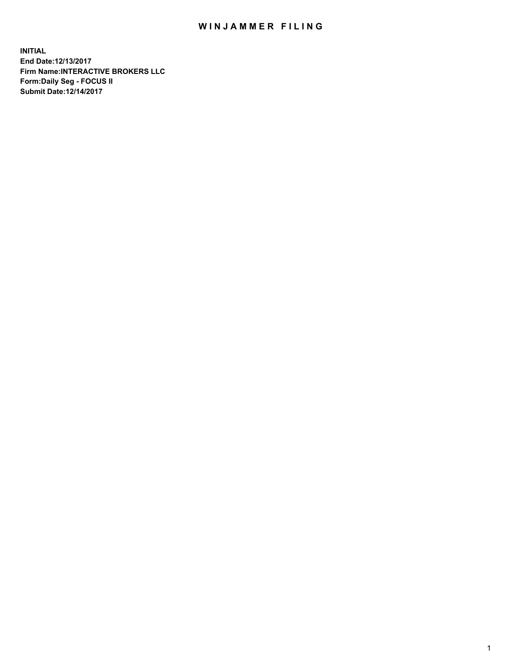## WIN JAMMER FILING

**INITIAL End Date:12/13/2017 Firm Name:INTERACTIVE BROKERS LLC Form:Daily Seg - FOCUS II Submit Date:12/14/2017**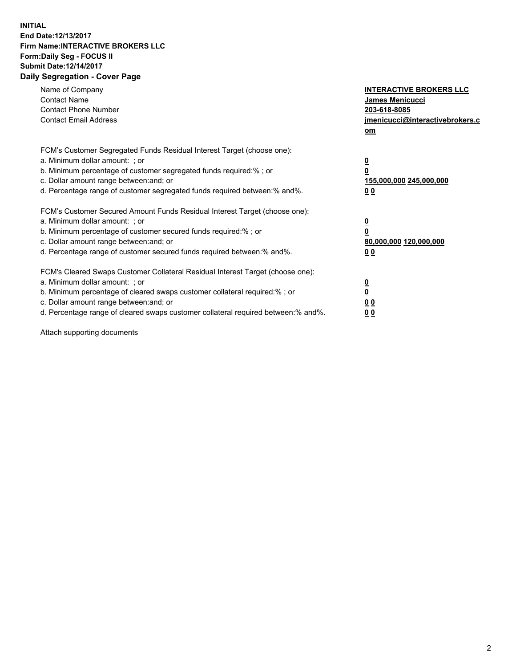## **INITIAL End Date:12/13/2017 Firm Name:INTERACTIVE BROKERS LLC Form:Daily Seg - FOCUS II Submit Date:12/14/2017 Daily Segregation - Cover Page**

| Name of Company<br><b>Contact Name</b><br><b>Contact Phone Number</b><br><b>Contact Email Address</b>                                                                                                                                                                                                                          | <b>INTERACTIVE BROKERS LLC</b><br><b>James Menicucci</b><br>203-618-8085<br>jmenicucci@interactivebrokers.c<br>om |
|--------------------------------------------------------------------------------------------------------------------------------------------------------------------------------------------------------------------------------------------------------------------------------------------------------------------------------|-------------------------------------------------------------------------------------------------------------------|
| FCM's Customer Segregated Funds Residual Interest Target (choose one):<br>a. Minimum dollar amount: ; or<br>b. Minimum percentage of customer segregated funds required:% ; or<br>c. Dollar amount range between: and; or<br>d. Percentage range of customer segregated funds required between:% and%.                         | $\overline{\mathbf{0}}$<br>0<br><u>155,000,000 245,000,000</u><br><u>00</u>                                       |
| FCM's Customer Secured Amount Funds Residual Interest Target (choose one):<br>a. Minimum dollar amount: ; or<br>b. Minimum percentage of customer secured funds required:%; or<br>c. Dollar amount range between: and; or<br>d. Percentage range of customer secured funds required between:% and%.                            | $\overline{\mathbf{0}}$<br>$\overline{\mathbf{0}}$<br>80,000,000 120,000,000<br>00                                |
| FCM's Cleared Swaps Customer Collateral Residual Interest Target (choose one):<br>a. Minimum dollar amount: ; or<br>b. Minimum percentage of cleared swaps customer collateral required:% ; or<br>c. Dollar amount range between: and; or<br>d. Percentage range of cleared swaps customer collateral required between:% and%. | $\underline{\mathbf{0}}$<br>$\underline{\mathbf{0}}$<br>0 <sub>0</sub><br>0 <sub>0</sub>                          |

Attach supporting documents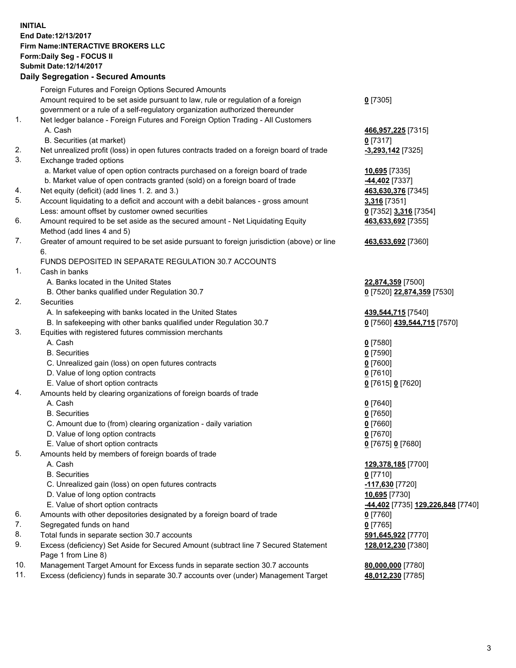## **INITIAL End Date:12/13/2017 Firm Name:INTERACTIVE BROKERS LLC Form:Daily Seg - FOCUS II Submit Date:12/14/2017**

|     | <b>Daily Segregation - Secured Amounts</b>                                                  |                                          |
|-----|---------------------------------------------------------------------------------------------|------------------------------------------|
|     | Foreign Futures and Foreign Options Secured Amounts                                         |                                          |
|     | Amount required to be set aside pursuant to law, rule or regulation of a foreign            | $0$ [7305]                               |
|     | government or a rule of a self-regulatory organization authorized thereunder                |                                          |
| 1.  | Net ledger balance - Foreign Futures and Foreign Option Trading - All Customers             |                                          |
|     | A. Cash                                                                                     | 466,957,225 [7315]                       |
|     | B. Securities (at market)                                                                   | $0$ [7317]                               |
| 2.  | Net unrealized profit (loss) in open futures contracts traded on a foreign board of trade   | $-3,293,142$ [7325]                      |
| 3.  | Exchange traded options                                                                     |                                          |
|     | a. Market value of open option contracts purchased on a foreign board of trade              | 10,695 [7335]                            |
|     | b. Market value of open contracts granted (sold) on a foreign board of trade                | -44,402 [7337]                           |
| 4.  | Net equity (deficit) (add lines 1.2. and 3.)                                                | 463,630,376 [7345]                       |
| 5.  | Account liquidating to a deficit and account with a debit balances - gross amount           | 3,316 [7351]                             |
|     | Less: amount offset by customer owned securities                                            | 0 [7352] 3,316 [7354]                    |
| 6.  | Amount required to be set aside as the secured amount - Net Liquidating Equity              | 463,633,692 [7355]                       |
|     | Method (add lines 4 and 5)                                                                  |                                          |
| 7.  | Greater of amount required to be set aside pursuant to foreign jurisdiction (above) or line | 463,633,692 [7360]                       |
|     | 6.                                                                                          |                                          |
|     | FUNDS DEPOSITED IN SEPARATE REGULATION 30.7 ACCOUNTS                                        |                                          |
| 1.  | Cash in banks                                                                               |                                          |
|     | A. Banks located in the United States                                                       | 22,874,359 [7500]                        |
|     | B. Other banks qualified under Regulation 30.7                                              | 0 [7520] 22,874,359 [7530]               |
| 2.  | Securities                                                                                  |                                          |
|     | A. In safekeeping with banks located in the United States                                   | 439,544,715 [7540]                       |
|     | B. In safekeeping with other banks qualified under Regulation 30.7                          | 0 [7560] 439,544,715 [7570]              |
| 3.  | Equities with registered futures commission merchants                                       |                                          |
|     | A. Cash                                                                                     | $0$ [7580]                               |
|     | <b>B.</b> Securities                                                                        | $0$ [7590]                               |
|     | C. Unrealized gain (loss) on open futures contracts                                         | $0$ [7600]                               |
|     | D. Value of long option contracts                                                           | $0$ [7610]                               |
|     | E. Value of short option contracts                                                          | 0 [7615] 0 [7620]                        |
| 4.  | Amounts held by clearing organizations of foreign boards of trade                           |                                          |
|     | A. Cash                                                                                     | $0$ [7640]                               |
|     | <b>B.</b> Securities                                                                        | $0$ [7650]                               |
|     | C. Amount due to (from) clearing organization - daily variation                             | $0$ [7660]                               |
|     | D. Value of long option contracts                                                           | $0$ [7670]                               |
|     | E. Value of short option contracts                                                          | 0 [7675] 0 [7680]                        |
| 5.  | Amounts held by members of foreign boards of trade                                          |                                          |
|     | A. Cash                                                                                     | 129,378,185 [7700]                       |
|     | <b>B.</b> Securities                                                                        | 0 [7710]                                 |
|     | C. Unrealized gain (loss) on open futures contracts                                         | <u>-117,630</u> [7720]                   |
|     | D. Value of long option contracts                                                           | 10,695 [7730]                            |
|     | E. Value of short option contracts                                                          | <u>-44,402</u> [7735] 129,226,848 [7740] |
| 6.  | Amounts with other depositories designated by a foreign board of trade                      | 0 [7760]                                 |
| 7.  | Segregated funds on hand                                                                    | $0$ [7765]                               |
| 8.  | Total funds in separate section 30.7 accounts                                               | 591,645,922 [7770]                       |
| 9.  | Excess (deficiency) Set Aside for Secured Amount (subtract line 7 Secured Statement         | 128,012,230 [7380]                       |
|     | Page 1 from Line 8)                                                                         |                                          |
| 10. | Management Target Amount for Excess funds in separate section 30.7 accounts                 | 80,000,000 [7780]                        |
| 11. | Excess (deficiency) funds in separate 30.7 accounts over (under) Management Target          | 48,012,230 [7785]                        |
|     |                                                                                             |                                          |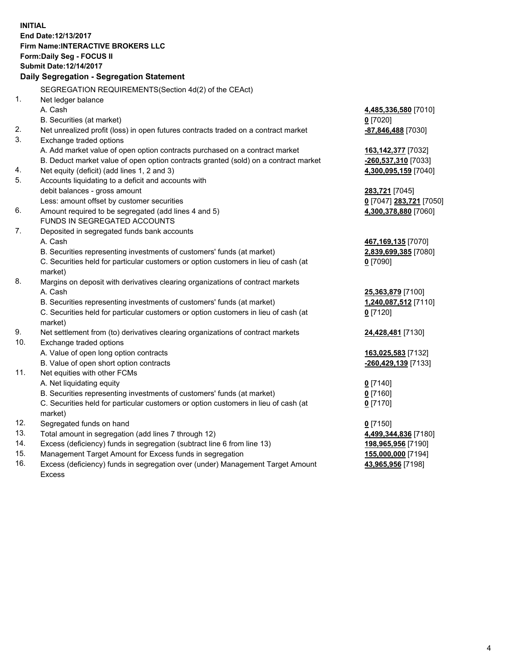**INITIAL End Date:12/13/2017 Firm Name:INTERACTIVE BROKERS LLC Form:Daily Seg - FOCUS II Submit Date:12/14/2017 Daily Segregation - Segregation Statement** SEGREGATION REQUIREMENTS(Section 4d(2) of the CEAct) 1. Net ledger balance A. Cash **4,485,336,580** [7010] B. Securities (at market) **0** [7020] 2. Net unrealized profit (loss) in open futures contracts traded on a contract market **-87,846,488** [7030] 3. Exchange traded options A. Add market value of open option contracts purchased on a contract market **163,142,377** [7032] B. Deduct market value of open option contracts granted (sold) on a contract market **-260,537,310** [7033] 4. Net equity (deficit) (add lines 1, 2 and 3) **4,300,095,159** [7040] 5. Accounts liquidating to a deficit and accounts with debit balances - gross amount **283,721** [7045] Less: amount offset by customer securities **0** [7047] **283,721** [7050] 6. Amount required to be segregated (add lines 4 and 5) **4,300,378,880** [7060] FUNDS IN SEGREGATED ACCOUNTS 7. Deposited in segregated funds bank accounts A. Cash **467,169,135** [7070] B. Securities representing investments of customers' funds (at market) **2,839,699,385** [7080] C. Securities held for particular customers or option customers in lieu of cash (at market) **0** [7090] 8. Margins on deposit with derivatives clearing organizations of contract markets A. Cash **25,363,879** [7100] B. Securities representing investments of customers' funds (at market) **1,240,087,512** [7110] C. Securities held for particular customers or option customers in lieu of cash (at market) **0** [7120] 9. Net settlement from (to) derivatives clearing organizations of contract markets **24,428,481** [7130] 10. Exchange traded options A. Value of open long option contracts **163,025,583** [7132] B. Value of open short option contracts **-260,429,139** [7133] 11. Net equities with other FCMs A. Net liquidating equity **0** [7140] B. Securities representing investments of customers' funds (at market) **0** [7160] C. Securities held for particular customers or option customers in lieu of cash (at market) **0** [7170] 12. Segregated funds on hand **0** [7150] 13. Total amount in segregation (add lines 7 through 12) **4,499,344,836** [7180] 14. Excess (deficiency) funds in segregation (subtract line 6 from line 13) **198,965,956** [7190] 15. Management Target Amount for Excess funds in segregation **155,000,000** [7194] **43,965,956** [7198]

16. Excess (deficiency) funds in segregation over (under) Management Target Amount Excess